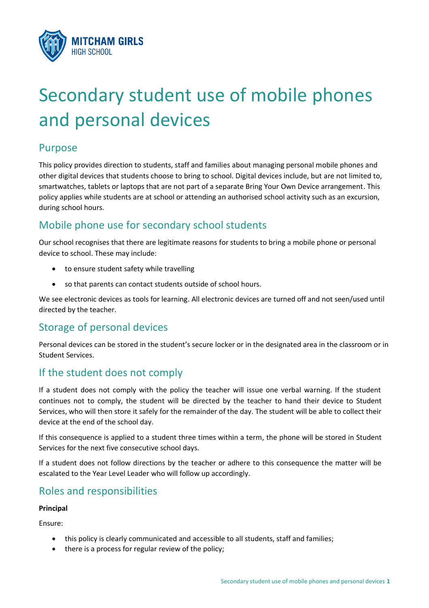

# Secondary student use of mobile phones and personal devices

## Purpose

This policy provides direction to students, staff and families about managing personal mobile phones and other digital devices that students choose to bring to school. Digital devices include, but are not limited to, smartwatches, tablets or laptops that are not part of a separate Bring Your Own Device arrangement. This policy applies while students are at school or attending an authorised school activity such as an excursion, during school hours.

# Mobile phone use for secondary school students

Our school recognises that there are legitimate reasons for students to bring a mobile phone or personal device to school. These may include:

- to ensure student safety while travelling
- so that parents can contact students outside of school hours.

We see electronic devices as tools for learning. All electronic devices are turned off and not seen/used until directed by the teacher.

# Storage of personal devices

Personal devices can be stored in the student's secure locker or in the designated area in the classroom or in Student Services.

# If the student does not comply

If a student does not comply with the policy the teacher will issue one verbal warning. If the student continues not to comply, the student will be directed by the teacher to hand their device to Student Services, who will then store it safely for the remainder of the day. The student will be able to collect their device at the end of the school day.

If this consequence is applied to a student three times within a term, the phone will be stored in Student Services for the next five consecutive school days.

If a student does not follow directions by the teacher or adhere to this consequence the matter will be escalated to the Year Level Leader who will follow up accordingly.

## Roles and responsibilities

## **Principal**

Ensure:

- this policy is clearly communicated and accessible to all students, staff and families;
- $\bullet$  there is a process for regular review of the policy;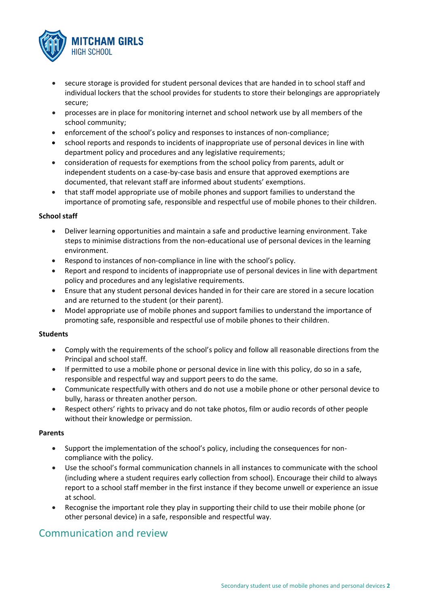

- secure storage is provided for student personal devices that are handed in to school staff and individual lockers that the school provides for students to store their belongings are appropriately secure;
- processes are in place for monitoring internet and school network use by all members of the school community;
- enforcement of the school's policy and responses to instances of non-compliance;
- school reports and responds to incidents of inappropriate use of personal devices in line with department policy and procedures and any legislative requirements;
- consideration of requests for exemptions from the school policy from parents, adult or independent students on a case-by-case basis and ensure that approved exemptions are documented, that relevant staff are informed about students' exemptions.
- x that staff model appropriate use of mobile phones and support families to understand the importance of promoting safe, responsible and respectful use of mobile phones to their children.

### **School staff**

- Deliver learning opportunities and maintain a safe and productive learning environment. Take steps to minimise distractions from the non-educational use of personal devices in the learning environment.
- Respond to instances of non-compliance in line with the school's policy.
- Report and respond to incidents of inappropriate use of personal devices in line with department policy and procedures and any legislative requirements.
- Ensure that any student personal devices handed in for their care are stored in a secure location and are returned to the student (or their parent).
- x Model appropriate use of mobile phones and support families to understand the importance of promoting safe, responsible and respectful use of mobile phones to their children.

#### **Students**

- Comply with the requirements of the school's policy and follow all reasonable directions from the Principal and school staff.
- If permitted to use a mobile phone or personal device in line with this policy, do so in a safe, responsible and respectful way and support peers to do the same.
- Communicate respectfully with others and do not use a mobile phone or other personal device to bully, harass or threaten another person.
- Respect others' rights to privacy and do not take photos, film or audio records of other people without their knowledge or permission.

#### **Parents**

- Support the implementation of the school's policy, including the consequences for noncompliance with the policy.
- Use the school's formal communication channels in all instances to communicate with the school (including where a student requires early collection from school). Encourage their child to always report to a school staff member in the first instance if they become unwell or experience an issue at school.
- x Recognise the important role they play in supporting their child to use their mobile phone (or other personal device) in a safe, responsible and respectful way.

## Communication and review